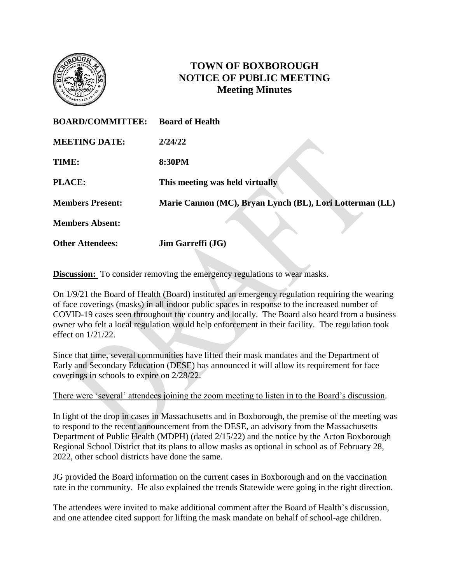

## **TOWN OF BOXBOROUGH NOTICE OF PUBLIC MEETING Meeting Minutes**

| <b>BOARD/COMMITTEE:</b> | <b>Board of Health</b>                                   |
|-------------------------|----------------------------------------------------------|
| <b>MEETING DATE:</b>    | 2/24/22                                                  |
| TIME:                   | 8:30PM                                                   |
| PLACE:                  | This meeting was held virtually                          |
| <b>Members Present:</b> | Marie Cannon (MC), Bryan Lynch (BL), Lori Lotterman (LL) |
| <b>Members Absent:</b>  |                                                          |
| <b>Other Attendees:</b> | <b>Jim Garreffi</b> ( <b>JG</b> )                        |

**Discussion:** To consider removing the emergency regulations to wear masks.

On 1/9/21 the Board of Health (Board) instituted an emergency regulation requiring the wearing of face coverings (masks) in all indoor public spaces in response to the increased number of COVID-19 cases seen throughout the country and locally. The Board also heard from a business owner who felt a local regulation would help enforcement in their facility. The regulation took effect on 1/21/22.

Since that time, several communities have lifted their mask mandates and the Department of Early and Secondary Education (DESE) has announced it will allow its requirement for face coverings in schools to expire on 2/28/22.

There were 'several' attendees joining the zoom meeting to listen in to the Board's discussion.

In light of the drop in cases in Massachusetts and in Boxborough, the premise of the meeting was to respond to the recent announcement from the DESE, an advisory from the Massachusetts Department of Public Health (MDPH) (dated 2/15/22) and the notice by the Acton Boxborough Regional School District that its plans to allow masks as optional in school as of February 28, 2022, other school districts have done the same.

JG provided the Board information on the current cases in Boxborough and on the vaccination rate in the community. He also explained the trends Statewide were going in the right direction.

The attendees were invited to make additional comment after the Board of Health's discussion, and one attendee cited support for lifting the mask mandate on behalf of school-age children.